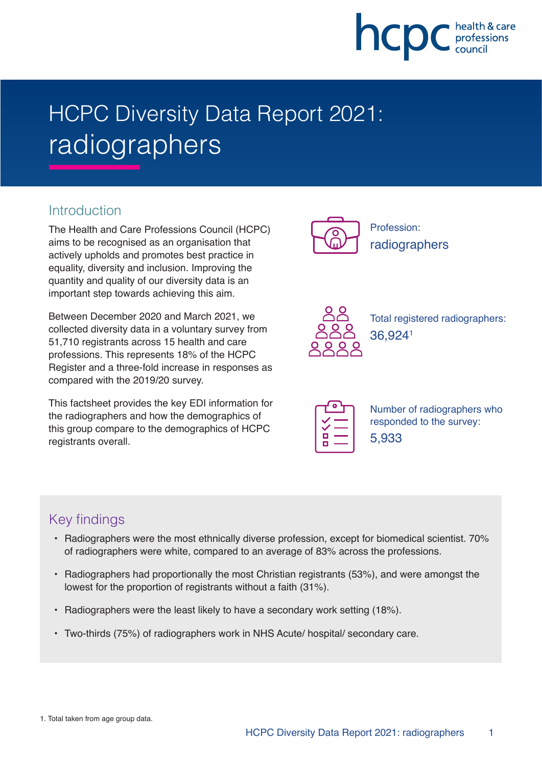

# HCPC Diversity Data Report 2021: radiographers

# **Introduction**

The Health and Care Professions Council (HCPC) aims to be recognised as an organisation that actively upholds and promotes best practice in equality, diversity and inclusion. Improving the quantity and quality of our diversity data is an important step towards achieving this aim.

Between December 2020 and March 2021, we collected diversity data in a voluntary survey from 51,710 registrants across 15 health and care professions. This represents 18% of the HCPC Register and a three-fold increase in responses as compared with the 2019/20 survey.

This factsheet provides the key EDI information for the radiographers and how the demographics of this group compare to the demographics of HCPC registrants overall.



Profession: radiographers



Total registered radiographers: 36,9241

| п |  |
|---|--|
|   |  |

Number of radiographers who responded to the survey: 5,933

# Key findings

- Radiographers were the most ethnically diverse profession, except for biomedical scientist. 70% of radiographers were white, compared to an average of 83% across the professions.
- Radiographers had proportionally the most Christian registrants (53%), and were amongst the lowest for the proportion of registrants without a faith (31%).
- Radiographers were the least likely to have a secondary work setting (18%).
- Two-thirds (75%) of radiographers work in NHS Acute/ hospital/ secondary care.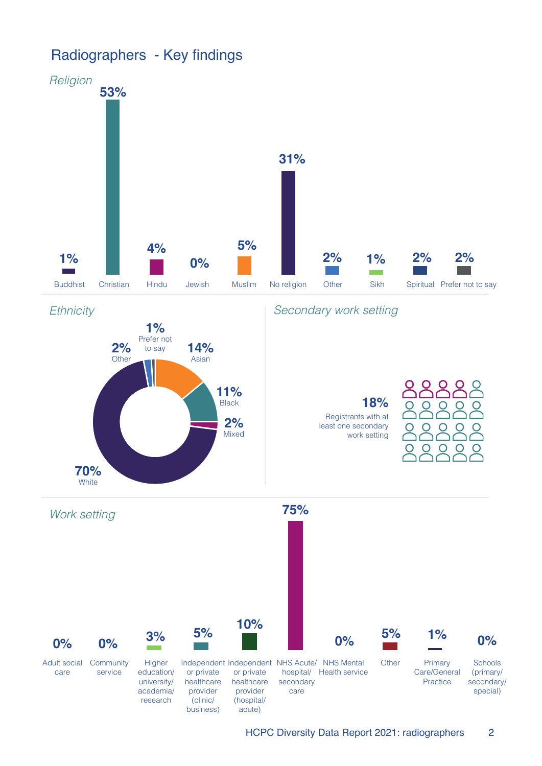# Radiographers - Key findings

**70%**



**11%** Black

> **2%** Mixed



**18%**

Registrants with at least one secondary work setting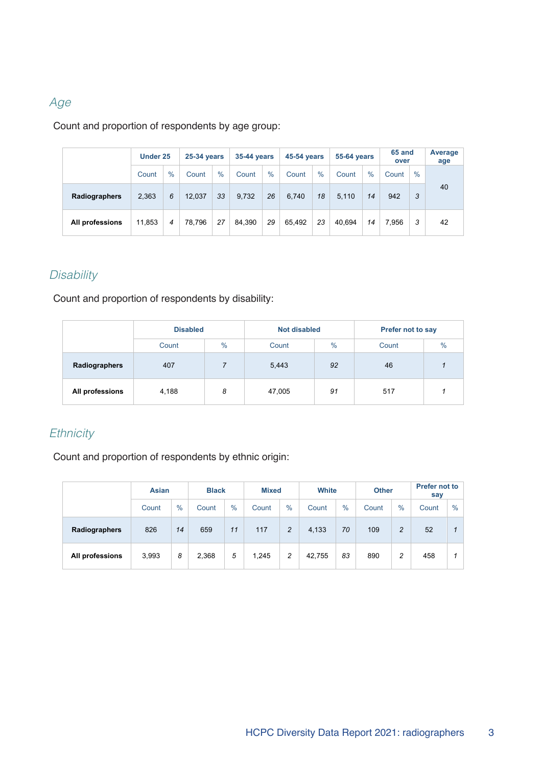## Age

#### Count and proportion of respondents by age group:

|                      | Under 25 |      | 25-34 years |      |        | 35-44 years |        | <b>45-54 years</b> |        | 55-64 years   |       | 65 and<br>over |    |
|----------------------|----------|------|-------------|------|--------|-------------|--------|--------------------|--------|---------------|-------|----------------|----|
|                      | Count    | $\%$ | Count       | $\%$ | Count  | $\%$        | Count  | $\%$               | Count  | $\frac{9}{6}$ | Count | $\%$           |    |
| <b>Radiographers</b> | 2,363    | 6    | 12,037      | 33   | 9.732  | 26          | 6,740  | 18                 | 5,110  | 14            | 942   | 3              | 40 |
| All professions      | 11.853   | 4    | 78.796      | 27   | 84.390 | 29          | 65.492 | 23                 | 40.694 | 14            | 7.956 | 3              | 42 |

## **Disability**

Count and proportion of respondents by disability:

|                 | <b>Disabled</b> |   | <b>Not disabled</b> |               | Prefer not to say |      |
|-----------------|-----------------|---|---------------------|---------------|-------------------|------|
|                 | $\%$<br>Count   |   | Count               | $\frac{0}{0}$ | Count             | $\%$ |
| Radiographers   | 407             |   | 5,443               | 92            | 46                |      |
| All professions | 4,188           | 8 | 47,005              | 91            | 517               |      |

#### **Ethnicity**

Count and proportion of respondents by ethnic origin:

|                 | <b>Asian</b> |               | <b>Black</b> |      | <b>Mixed</b> |                | <b>White</b> |               | <b>Other</b> |      | <b>Prefer not to</b><br>say |      |
|-----------------|--------------|---------------|--------------|------|--------------|----------------|--------------|---------------|--------------|------|-----------------------------|------|
|                 | Count        | $\frac{9}{6}$ | Count        | $\%$ |              | $\%$           | Count        | $\frac{9}{6}$ | Count        | $\%$ | Count                       | $\%$ |
| Radiographers   | 826          | 14            | 659          | 11   | 117          | $\overline{c}$ | 4,133        | 70            | 109          | 2    | 52                          |      |
| All professions | 3,993        | 8             | 2,368        | 5    | 1,245        | 2              | 42.755       | 83            | 890          | 2    | 458                         |      |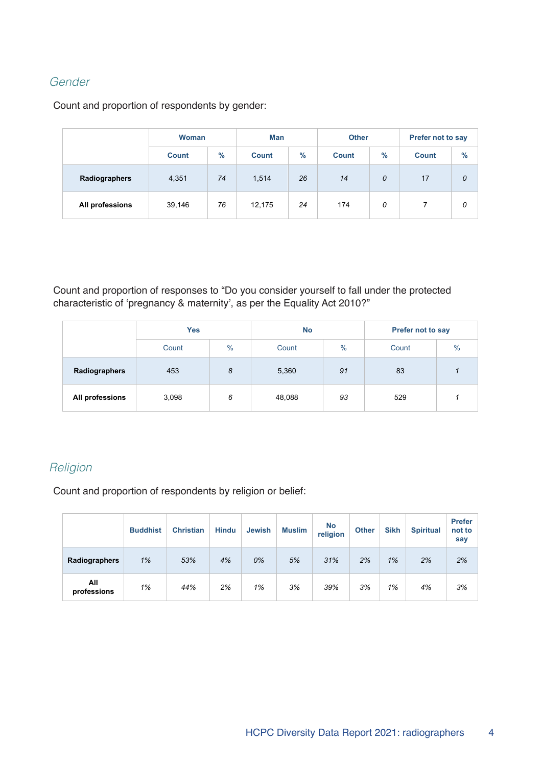#### Gender

Count and proportion of respondents by gender:

|                 | <b>Woman</b><br>$\frac{0}{0}$<br><b>Count</b> |    | Man          |    | <b>Other</b> |      | <b>Prefer not to say</b> |               |  |
|-----------------|-----------------------------------------------|----|--------------|----|--------------|------|--------------------------|---------------|--|
|                 |                                               |    | <b>Count</b> |    | <b>Count</b> | $\%$ | <b>Count</b>             | $\frac{9}{6}$ |  |
| Radiographers   | 4,351                                         | 74 | 1,514        | 26 | 14           | 0    | 17                       | 0             |  |
| All professions | 39,146                                        | 76 | 12,175       | 24 | 174          | 0    |                          | 0             |  |

Count and proportion of responses to "Do you consider yourself to fall under the protected characteristic of 'pregnancy & maternity', as per the Equality Act 2010?"

|                 | <b>Yes</b><br>$\frac{0}{0}$<br>Count |   | <b>No</b> |               | Prefer not to say |      |  |
|-----------------|--------------------------------------|---|-----------|---------------|-------------------|------|--|
|                 |                                      |   | Count     | $\frac{0}{0}$ | Count             | $\%$ |  |
| Radiographers   | 8<br>453                             |   | 5,360     | 91            | 83                |      |  |
| All professions | 3,098                                | 6 | 48,088    | 93            | 529               |      |  |

# Religion

Count and proportion of respondents by religion or belief:

|                    | <b>Buddhist</b> | <b>Christian</b> | <b>Hindu</b> | <b>Jewish</b> | <b>Muslim</b> | <b>No</b><br>religion | <b>Other</b> | <b>Sikh</b> | <b>Spiritual</b> | <b>Prefer</b><br>not to<br>say |
|--------------------|-----------------|------------------|--------------|---------------|---------------|-----------------------|--------------|-------------|------------------|--------------------------------|
| Radiographers      | 1%              | 53%              | 4%           | 0%            | 5%            | 31%                   | 2%           | 1%          | 2%               | 2%                             |
| All<br>professions | 1%              | 44%              | 2%           | 1%            | 3%            | 39%                   | 3%           | 1%          | 4%               | 3%                             |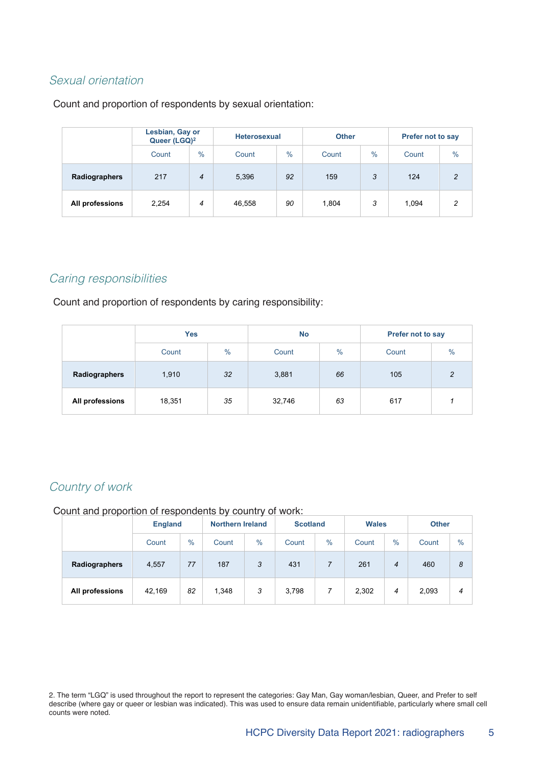#### Sexual orientation

Count and proportion of respondents by sexual orientation:

|                 | Lesbian, Gay or<br>Queer (LGQ) <sup>2</sup> |      |        | <b>Heterosexual</b> |       |      | Prefer not to say |                |  |
|-----------------|---------------------------------------------|------|--------|---------------------|-------|------|-------------------|----------------|--|
|                 | Count                                       | $\%$ | Count  | $\%$                | Count | $\%$ | Count             | $\frac{0}{0}$  |  |
| Radiographers   | 217                                         | 4    | 5,396  | 92                  | 159   | 3    | 124               | $\overline{2}$ |  |
| All professions | 2,254                                       | 4    | 46,558 | 90                  | 1,804 | 3    | 1,094             | 2              |  |

#### Caring responsibilities

Count and proportion of respondents by caring responsibility:

|                 | <b>Yes</b><br>$\frac{9}{6}$<br>Count |    | <b>No</b> |      | Prefer not to say |      |  |
|-----------------|--------------------------------------|----|-----------|------|-------------------|------|--|
|                 |                                      |    | Count     | $\%$ | Count             | $\%$ |  |
| Radiographers   | 32 <sub>2</sub><br>1,910             |    | 3,881     | 66   | 105               | 2    |  |
| All professions | 18,351                               | 35 | 32,746    | 63   | 617               |      |  |

#### Country of work

Count and proportion of respondents by country of work:

|                 | <b>England</b> |      | <b>Northern Ireland</b> |      | <b>Scotland</b> |               | <b>Wales</b> |                | <b>Other</b> |      |
|-----------------|----------------|------|-------------------------|------|-----------------|---------------|--------------|----------------|--------------|------|
|                 | Count          | $\%$ | Count                   | $\%$ | Count           | $\frac{0}{0}$ | Count        | $\frac{0}{0}$  | Count        | $\%$ |
| Radiographers   | 4,557          | 77   | 187                     | 3    | 431             |               | 261          | $\overline{4}$ | 460          | 8    |
| All professions | 42.169         | 82   | 1,348                   | 3    | 3,798           |               | 2,302        | 4              | 2,093        | 4    |

2. The term "LGQ" is used throughout the report to represent the categories: Gay Man, Gay woman/lesbian, Queer, and Prefer to self describe (where gay or queer or lesbian was indicated). This was used to ensure data remain unidentifiable, particularly where small cell counts were noted.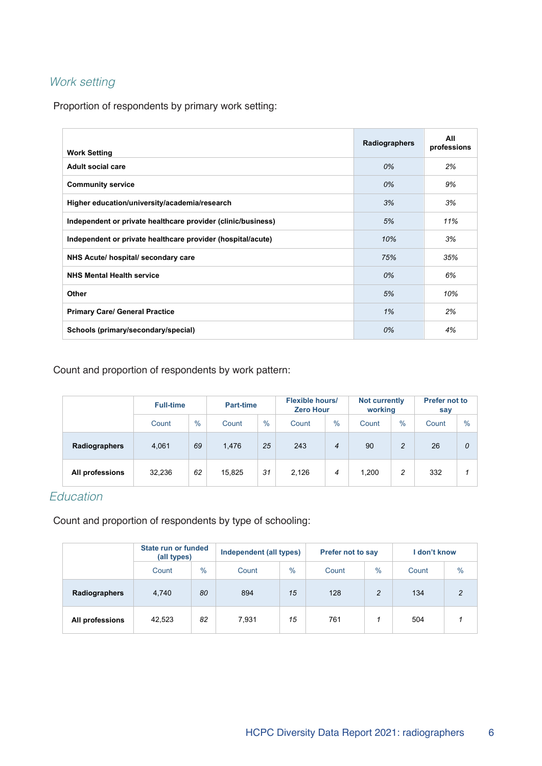# Work setting

Proportion of respondents by primary work setting:

| <b>Work Setting</b>                                          | Radiographers | All<br>professions |
|--------------------------------------------------------------|---------------|--------------------|
| <b>Adult social care</b>                                     | 0%            | 2%                 |
| <b>Community service</b>                                     | 0%            | 9%                 |
| Higher education/university/academia/research                | 3%            | 3%                 |
| Independent or private healthcare provider (clinic/business) | 5%            | 11%                |
| Independent or private healthcare provider (hospital/acute)  | 10%           | 3%                 |
| NHS Acute/ hospital/ secondary care                          | 75%           | 35%                |
| <b>NHS Mental Health service</b>                             | 0%            | 6%                 |
| <b>Other</b>                                                 | 5%            | 10%                |
| <b>Primary Care/ General Practice</b>                        | 1%            | 2%                 |
| Schools (primary/secondary/special)                          | 0%            | 4%                 |

Count and proportion of respondents by work pattern:

|                 | <b>Full-time</b> |               | Part-time |      |       | <b>Flexible hours/</b><br><b>Zero Hour</b> |       | Not currently<br>working | <b>Prefer not to</b><br>say |      |
|-----------------|------------------|---------------|-----------|------|-------|--------------------------------------------|-------|--------------------------|-----------------------------|------|
|                 | Count            | $\frac{0}{0}$ | Count     | $\%$ | Count | $\%$                                       | Count | $\%$                     | Count                       | $\%$ |
| Radiographers   | 4,061            | 69            | 1,476     | 25   | 243   | $\overline{4}$                             | 90    | $\overline{c}$           | 26                          | 0    |
| All professions | 32,236           | 62            | 15,825    | 31   | 2,126 | 4                                          | 1,200 | 2                        | 332                         |      |

# Education

Count and proportion of respondents by type of schooling:

|                 | State run or funded<br>(all types) |               | Independent (all types) |      | <b>Prefer not to say</b> |                | l don't know |               |
|-----------------|------------------------------------|---------------|-------------------------|------|--------------------------|----------------|--------------|---------------|
|                 | Count                              | $\frac{0}{0}$ | Count                   | $\%$ | Count                    | $\%$           | Count        | $\frac{0}{0}$ |
| Radiographers   | 4,740                              | 80            | 894                     | 15   | 128                      | $\overline{c}$ | 134          | 2             |
| All professions | 42,523                             | 82            | 7.931                   | 15   | 761                      |                | 504          |               |